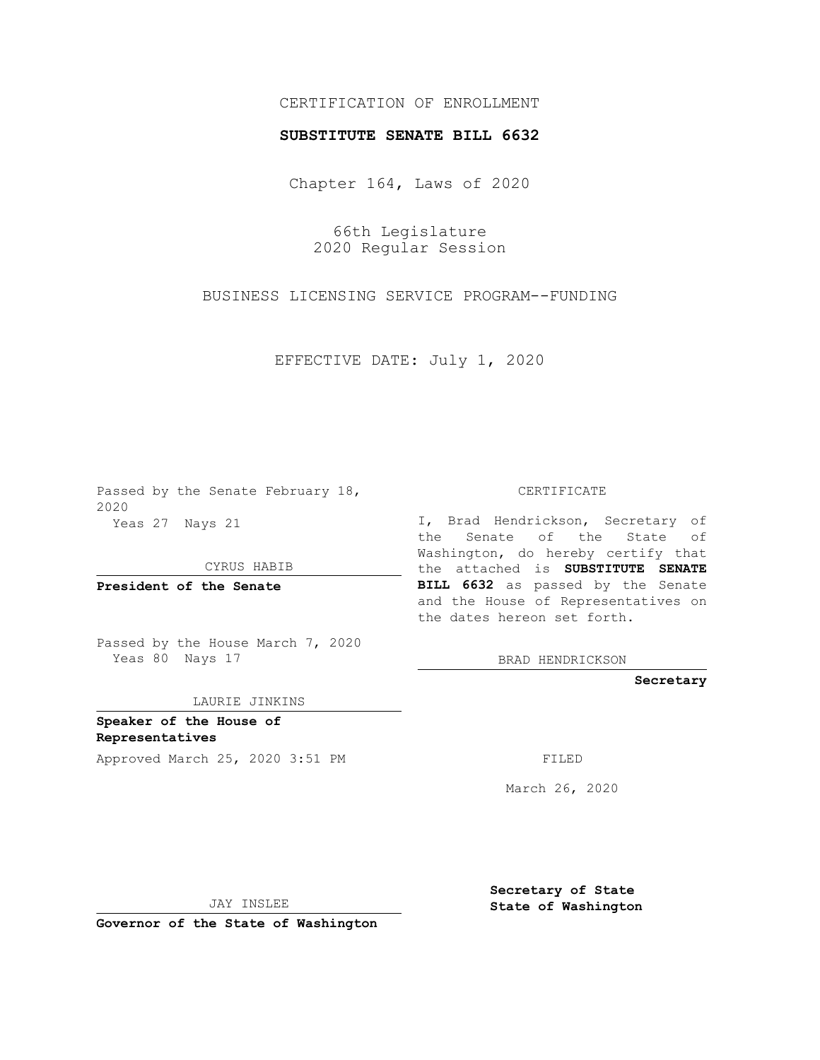## CERTIFICATION OF ENROLLMENT

## **SUBSTITUTE SENATE BILL 6632**

Chapter 164, Laws of 2020

66th Legislature 2020 Regular Session

BUSINESS LICENSING SERVICE PROGRAM--FUNDING

EFFECTIVE DATE: July 1, 2020

Passed by the Senate February 18, 2020 Yeas 27 Nays 21

CYRUS HABIB

**President of the Senate**

Passed by the House March 7, 2020 Yeas 80 Nays 17

LAURIE JINKINS

**Speaker of the House of Representatives**

Approved March 25, 2020 3:51 PM

CERTIFICATE

I, Brad Hendrickson, Secretary of the Senate of the State of Washington, do hereby certify that the attached is **SUBSTITUTE SENATE BILL 6632** as passed by the Senate and the House of Representatives on the dates hereon set forth.

BRAD HENDRICKSON

**Secretary**

March 26, 2020

JAY INSLEE

**Governor of the State of Washington**

**Secretary of State State of Washington**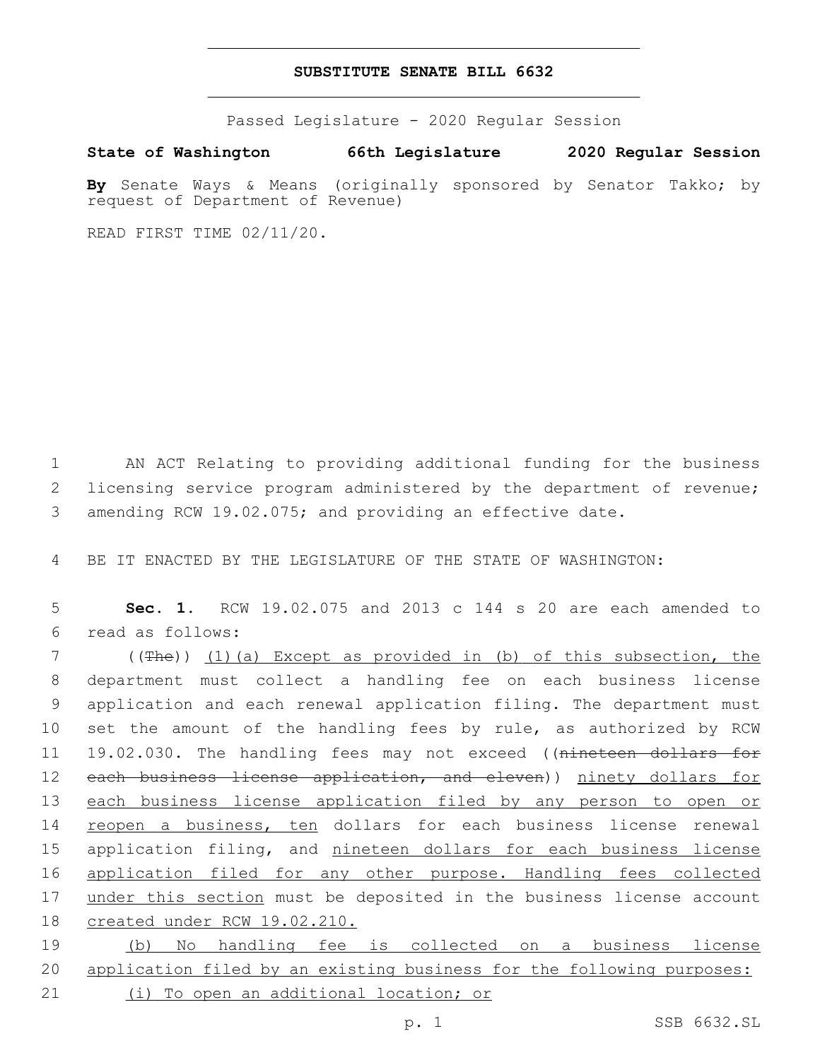## **SUBSTITUTE SENATE BILL 6632**

Passed Legislature - 2020 Regular Session

**State of Washington 66th Legislature 2020 Regular Session**

**By** Senate Ways & Means (originally sponsored by Senator Takko; by request of Department of Revenue)

READ FIRST TIME 02/11/20.

1 AN ACT Relating to providing additional funding for the business 2 licensing service program administered by the department of revenue; 3 amending RCW 19.02.075; and providing an effective date.

4 BE IT ENACTED BY THE LEGISLATURE OF THE STATE OF WASHINGTON:

5 **Sec. 1.** RCW 19.02.075 and 2013 c 144 s 20 are each amended to read as follows:6

7 ((The)) (1)(a) Except as provided in (b) of this subsection, the 8 department must collect a handling fee on each business license 9 application and each renewal application filing. The department must 10 set the amount of the handling fees by rule, as authorized by RCW 11 19.02.030. The handling fees may not exceed ((nineteen dollars for 12 each business license application, and eleven)) ninety dollars for 13 each business license application filed by any person to open or 14 reopen a business, ten dollars for each business license renewal 15 application filing, and nineteen dollars for each business license 16 application filed for any other purpose. Handling fees collected 17 under this section must be deposited in the business license account 18 created under RCW 19.02.210.

19 (b) No handling fee is collected on a business license 20 application filed by an existing business for the following purposes: 21 (i) To open an additional location; or